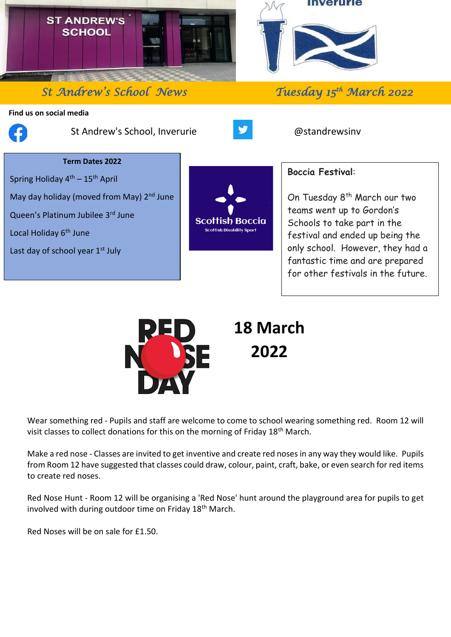

## *St Andrew's School News*

## **Find us on social media**



֦

St Andrew's School, Inverurie **Consumersion** and a constand a consumer and a consumer  $\omega$  and  $\omega$  and  $\omega$ 



## **Term Dates 2022**

Spring Holiday  $4<sup>th</sup> - 15<sup>th</sup>$  April May day holiday (moved from May) 2<sup>nd</sup> June Queen's Platinum Jubilee 3rd June Local Holiday 6<sup>th</sup> June Last day of school year  $1<sup>st</sup>$  July



## **Boccia Festival**:

On Tuesday 8<sup>th</sup> March our two teams went up to Gordon's Schools to take part in the festival and ended up being the only school. However, they had a fantastic time and are prepared for other festivals in the future.

*th March 2022* 



Wear something red - Pupils and staff are welcome to come to school wearing something red. Room 12 will visit classes to collect donations for this on the morning of Friday 18<sup>th</sup> March.

Make a red nose - Classes are invited to get inventive and create red noses in any way they would like. Pupils from Room 12 have suggested that classes could draw, colour, paint, craft, bake, or even search for red items to create red noses.

Red Nose Hunt - Room 12 will be organising a 'Red Nose' hunt around the playground area for pupils to get involved with during outdoor time on Friday 18<sup>th</sup> March.

Red Noses will be on sale for £1.50.